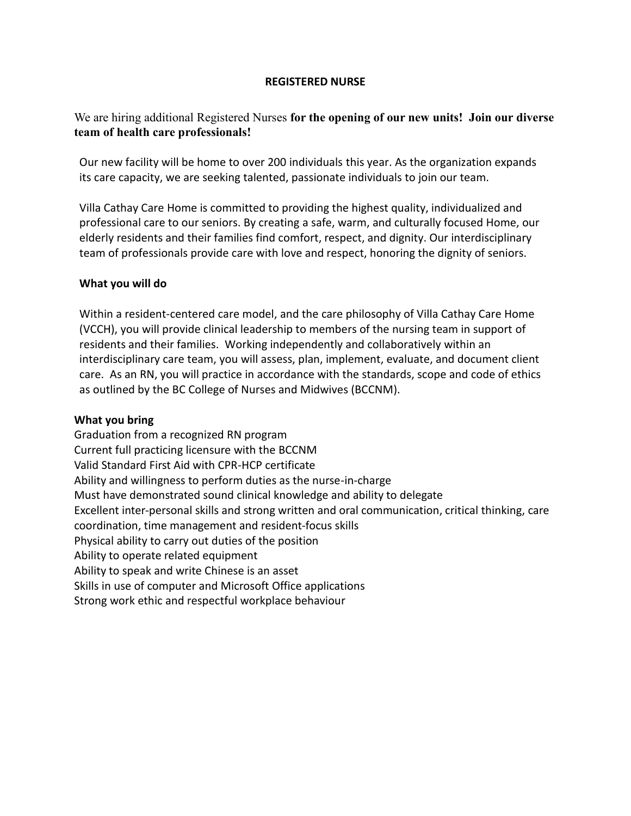#### **REGISTERED NURSE**

## We are hiring additional Registered Nurses **for the opening of our new units! Join our diverse team of health care professionals!**

Our new facility will be home to over 200 individuals this year. As the organization expands its care capacity, we are seeking talented, passionate individuals to join our team.

Villa Cathay Care Home is committed to providing the highest quality, individualized and professional care to our seniors. By creating a safe, warm, and culturally focused Home, our elderly residents and their families find comfort, respect, and dignity. Our interdisciplinary team of professionals provide care with love and respect, honoring the dignity of seniors.

### **What you will do**

Within a resident-centered care model, and the care philosophy of Villa Cathay Care Home (VCCH), you will provide clinical leadership to members of the nursing team in support of residents and their families. Working independently and collaboratively within an interdisciplinary care team, you will assess, plan, implement, evaluate, and document client care. As an RN, you will practice in accordance with the standards, scope and code of ethics as outlined by the BC College of Nurses and Midwives (BCCNM).

### **What you bring**

Graduation from a recognized RN program Current full practicing licensure with the BCCNM Valid Standard First Aid with CPR-HCP certificate Ability and willingness to perform duties as the nurse-in-charge Must have demonstrated sound clinical knowledge and ability to delegate Excellent inter-personal skills and strong written and oral communication, critical thinking, care coordination, time management and resident-focus skills Physical ability to carry out duties of the position Ability to operate related equipment Ability to speak and write Chinese is an asset Skills in use of computer and Microsoft Office applications Strong work ethic and respectful workplace behaviour